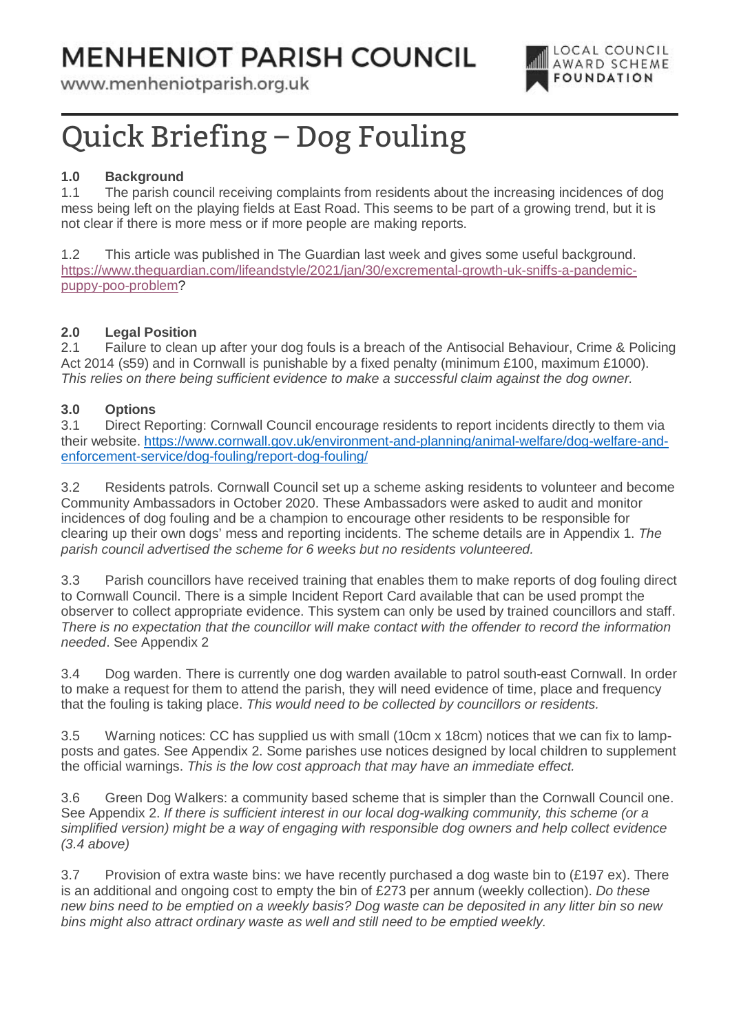# **MENHENIOT PARISH COUNCIL**

www.menheniotparish.org.uk



# Quick Briefing – Dog Fouling

## **1.0 Background**

1.1 The parish council receiving complaints from residents about the increasing incidences of dog mess being left on the playing fields at East Road. This seems to be part of a growing trend, but it is not clear if there is more mess or if more people are making reports.

1.2 This article was published in The Guardian last week and gives some useful background. https://www.theguardian.com/lifeandstyle/2021/jan/30/excremental-growth-uk-sniffs-a-pandemicpuppy-poo-problem?

#### **2.0 Legal Position**

2.1 Failure to clean up after your dog fouls is a breach of the Antisocial Behaviour, Crime & Policing Act 2014 (s59) and in Cornwall is punishable by a fixed penalty (minimum £100, maximum £1000). This relies on there being sufficient evidence to make a successful claim against the dog owner.

#### **3.0 Options**

3.1 Direct Reporting: Cornwall Council encourage residents to report incidents directly to them via their website. https://www.cornwall.gov.uk/environment-and-planning/animal-welfare/dog-welfare-andenforcement-service/dog-fouling/report-dog-fouling/

3.2 Residents patrols. Cornwall Council set up a scheme asking residents to volunteer and become Community Ambassadors in October 2020. These Ambassadors were asked to audit and monitor incidences of dog fouling and be a champion to encourage other residents to be responsible for clearing up their own dogs' mess and reporting incidents. The scheme details are in Appendix 1. The parish council advertised the scheme for 6 weeks but no residents volunteered.

3.3 Parish councillors have received training that enables them to make reports of dog fouling direct to Cornwall Council. There is a simple Incident Report Card available that can be used prompt the observer to collect appropriate evidence. This system can only be used by trained councillors and staff. There is no expectation that the councillor will make contact with the offender to record the information needed. See Appendix 2

3.4 Dog warden. There is currently one dog warden available to patrol south-east Cornwall. In order to make a request for them to attend the parish, they will need evidence of time, place and frequency that the fouling is taking place. This would need to be collected by councillors or residents.

3.5 Warning notices: CC has supplied us with small (10cm x 18cm) notices that we can fix to lampposts and gates. See Appendix 2. Some parishes use notices designed by local children to supplement the official warnings. This is the low cost approach that may have an immediate effect.

3.6 Green Dog Walkers: a community based scheme that is simpler than the Cornwall Council one. See Appendix 2. If there is sufficient interest in our local dog-walking community, this scheme (or a simplified version) might be a way of engaging with responsible dog owners and help collect evidence (3.4 above)

3.7 Provision of extra waste bins: we have recently purchased a dog waste bin to (£197 ex). There is an additional and ongoing cost to empty the bin of £273 per annum (weekly collection). Do these new bins need to be emptied on a weekly basis? Dog waste can be deposited in any litter bin so new bins might also attract ordinary waste as well and still need to be emptied weekly.